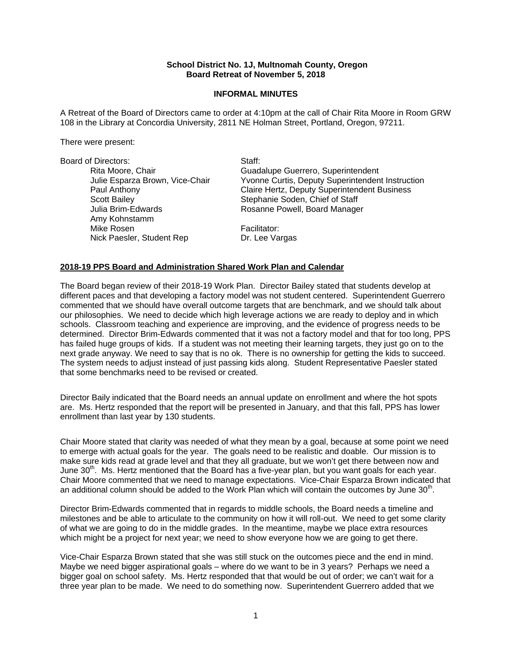### **School District No. 1J, Multnomah County, Oregon Board Retreat of November 5, 2018**

### **INFORMAL MINUTES**

A Retreat of the Board of Directors came to order at 4:10pm at the call of Chair Rita Moore in Room GRW 108 in the Library at Concordia University, 2811 NE Holman Street, Portland, Oregon, 97211.

There were present:

| <b>Board of Directors:</b>      | Staff:                                           |
|---------------------------------|--------------------------------------------------|
| Rita Moore, Chair               | Guadalupe Guerrero, Superintendent               |
| Julie Esparza Brown, Vice-Chair | Yvonne Curtis, Deputy Superintendent Instruction |
| Paul Anthony                    | Claire Hertz, Deputy Superintendent Business     |
| <b>Scott Bailey</b>             | Stephanie Soden, Chief of Staff                  |
| Julia Brim-Edwards              | Rosanne Powell, Board Manager                    |
| Amy Kohnstamm                   |                                                  |
| Mike Rosen                      | Facilitator:                                     |
| Nick Paesler, Student Rep       | Dr. Lee Vargas                                   |

## **2018-19 PPS Board and Administration Shared Work Plan and Calendar**

The Board began review of their 2018-19 Work Plan. Director Bailey stated that students develop at different paces and that developing a factory model was not student centered. Superintendent Guerrero commented that we should have overall outcome targets that are benchmark, and we should talk about our philosophies. We need to decide which high leverage actions we are ready to deploy and in which schools. Classroom teaching and experience are improving, and the evidence of progress needs to be determined. Director Brim-Edwards commented that it was not a factory model and that for too long, PPS has failed huge groups of kids. If a student was not meeting their learning targets, they just go on to the next grade anyway. We need to say that is no ok. There is no ownership for getting the kids to succeed. The system needs to adjust instead of just passing kids along. Student Representative Paesler stated that some benchmarks need to be revised or created.

Director Baily indicated that the Board needs an annual update on enrollment and where the hot spots are. Ms. Hertz responded that the report will be presented in January, and that this fall, PPS has lower enrollment than last year by 130 students.

Chair Moore stated that clarity was needed of what they mean by a goal, because at some point we need to emerge with actual goals for the year. The goals need to be realistic and doable. Our mission is to make sure kids read at grade level and that they all graduate, but we won't get there between now and June  $30<sup>th</sup>$ . Ms. Hertz mentioned that the Board has a five-year plan, but you want goals for each year. Chair Moore commented that we need to manage expectations. Vice-Chair Esparza Brown indicated that an additional column should be added to the Work Plan which will contain the outcomes by June  $30<sup>th</sup>$ .

Director Brim-Edwards commented that in regards to middle schools, the Board needs a timeline and milestones and be able to articulate to the community on how it will roll-out. We need to get some clarity of what we are going to do in the middle grades. In the meantime, maybe we place extra resources which might be a project for next year; we need to show everyone how we are going to get there.

Vice-Chair Esparza Brown stated that she was still stuck on the outcomes piece and the end in mind. Maybe we need bigger aspirational goals – where do we want to be in 3 years? Perhaps we need a bigger goal on school safety. Ms. Hertz responded that that would be out of order; we can't wait for a three year plan to be made. We need to do something now. Superintendent Guerrero added that we